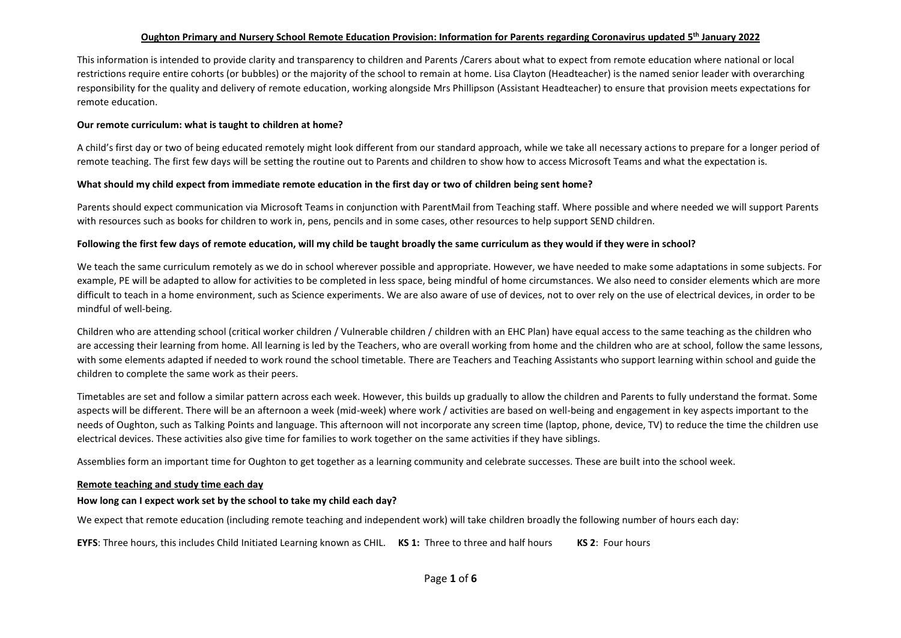# **Oughton Primary and Nursery School Remote Education Provision: Information for Parents regarding Coronavirus updated 5 th January 2022**

This information is intended to provide clarity and transparency to children and Parents /Carers about what to expect from remote education where national or local restrictions require entire cohorts (or bubbles) or the majority of the school to remain at home. Lisa Clayton (Headteacher) is the named senior leader with overarching responsibility for the quality and delivery of remote education, working alongside Mrs Phillipson (Assistant Headteacher) to ensure that provision meets expectations for remote education.

#### **Our remote curriculum: what is taught to children at home?**

A child's first day or two of being educated remotely might look different from our standard approach, while we take all necessary actions to prepare for a longer period of remote teaching. The first few days will be setting the routine out to Parents and children to show how to access Microsoft Teams and what the expectation is.

#### **What should my child expect from immediate remote education in the first day or two of children being sent home?**

Parents should expect communication via Microsoft Teams in conjunction with ParentMail from Teaching staff. Where possible and where needed we will support Parents with resources such as books for children to work in, pens, pencils and in some cases, other resources to help support SEND children.

#### **Following the first few days of remote education, will my child be taught broadly the same curriculum as they would if they were in school?**

We teach the same curriculum remotely as we do in school wherever possible and appropriate. However, we have needed to make some adaptations in some subjects. For example, PE will be adapted to allow for activities to be completed in less space, being mindful of home circumstances. We also need to consider elements which are more difficult to teach in a home environment, such as Science experiments. We are also aware of use of devices, not to over rely on the use of electrical devices, in order to be mindful of well-being.

Children who are attending school (critical worker children / Vulnerable children / children with an EHC Plan) have equal access to the same teaching as the children who are accessing their learning from home. All learning is led by the Teachers, who are overall working from home and the children who are at school, follow the same lessons, with some elements adapted if needed to work round the school timetable. There are Teachers and Teaching Assistants who support learning within school and guide the children to complete the same work as their peers.

Timetables are set and follow a similar pattern across each week. However, this builds up gradually to allow the children and Parents to fully understand the format. Some aspects will be different. There will be an afternoon a week (mid-week) where work / activities are based on well-being and engagement in key aspects important to the needs of Oughton, such as Talking Points and language. This afternoon will not incorporate any screen time (laptop, phone, device, TV) to reduce the time the children use electrical devices. These activities also give time for families to work together on the same activities if they have siblings.

Assemblies form an important time for Oughton to get together as a learning community and celebrate successes. These are built into the school week.

#### **Remote teaching and study time each day**

#### **How long can I expect work set by the school to take my child each day?**

We expect that remote education (including remote teaching and independent work) will take children broadly the following number of hours each day:

**EYFS**: Three hours, this includes Child Initiated Learning known as CHIL. **KS 1:** Three to three and half hours **KS 2**: Four hours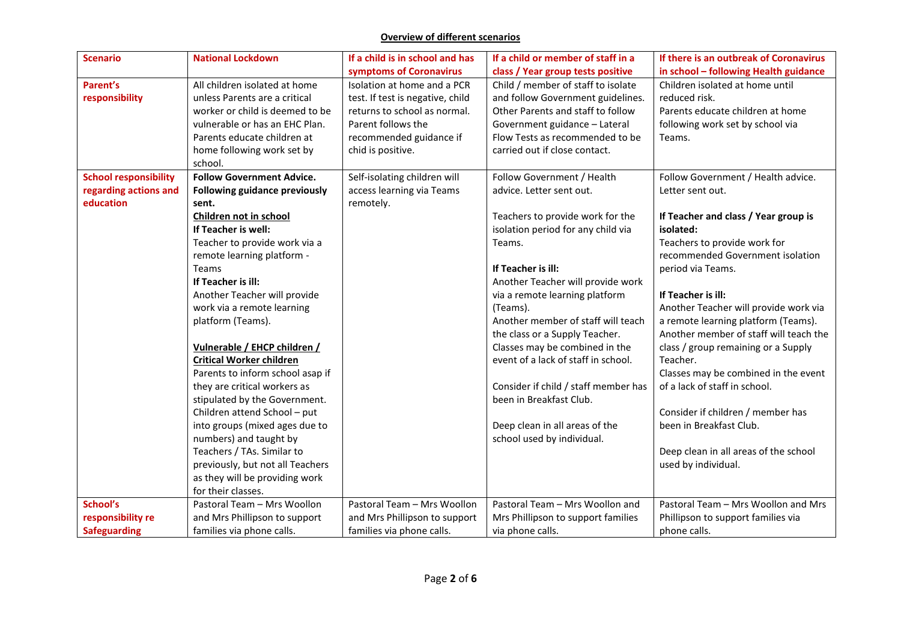# **Overview of different scenarios**

| <b>Scenario</b>              | <b>National Lockdown</b>         | If a child is in school and has  | If a child or member of staff in a   | If there is an outbreak of Coronavirus |
|------------------------------|----------------------------------|----------------------------------|--------------------------------------|----------------------------------------|
|                              |                                  | symptoms of Coronavirus          | class / Year group tests positive    | in school - following Health guidance  |
| Parent's                     | All children isolated at home    | Isolation at home and a PCR      | Child / member of staff to isolate   | Children isolated at home until        |
| responsibility               | unless Parents are a critical    | test. If test is negative, child | and follow Government guidelines.    | reduced risk.                          |
|                              | worker or child is deemed to be  | returns to school as normal.     | Other Parents and staff to follow    | Parents educate children at home       |
|                              | vulnerable or has an EHC Plan.   | Parent follows the               | Government guidance - Lateral        | following work set by school via       |
|                              | Parents educate children at      | recommended guidance if          | Flow Tests as recommended to be      | Teams.                                 |
|                              | home following work set by       | chid is positive.                | carried out if close contact.        |                                        |
|                              | school.                          |                                  |                                      |                                        |
| <b>School responsibility</b> | <b>Follow Government Advice.</b> | Self-isolating children will     | Follow Government / Health           | Follow Government / Health advice.     |
| regarding actions and        | Following guidance previously    | access learning via Teams        | advice. Letter sent out.             | Letter sent out.                       |
| education                    | sent.                            | remotely.                        |                                      |                                        |
|                              | Children not in school           |                                  | Teachers to provide work for the     | If Teacher and class / Year group is   |
|                              | If Teacher is well:              |                                  | isolation period for any child via   | isolated:                              |
|                              | Teacher to provide work via a    |                                  | Teams.                               | Teachers to provide work for           |
|                              | remote learning platform -       |                                  |                                      | recommended Government isolation       |
|                              | Teams                            |                                  | If Teacher is ill:                   | period via Teams.                      |
|                              | If Teacher is ill:               |                                  | Another Teacher will provide work    |                                        |
|                              | Another Teacher will provide     |                                  | via a remote learning platform       | If Teacher is ill:                     |
|                              | work via a remote learning       |                                  | (Teams).                             | Another Teacher will provide work via  |
|                              | platform (Teams).                |                                  | Another member of staff will teach   | a remote learning platform (Teams).    |
|                              |                                  |                                  | the class or a Supply Teacher.       | Another member of staff will teach the |
|                              | Vulnerable / EHCP children /     |                                  | Classes may be combined in the       | class / group remaining or a Supply    |
|                              | <b>Critical Worker children</b>  |                                  | event of a lack of staff in school.  | Teacher.                               |
|                              | Parents to inform school asap if |                                  |                                      | Classes may be combined in the event   |
|                              | they are critical workers as     |                                  | Consider if child / staff member has | of a lack of staff in school.          |
|                              | stipulated by the Government.    |                                  | been in Breakfast Club.              |                                        |
|                              | Children attend School - put     |                                  |                                      | Consider if children / member has      |
|                              | into groups (mixed ages due to   |                                  | Deep clean in all areas of the       | been in Breakfast Club.                |
|                              | numbers) and taught by           |                                  | school used by individual.           |                                        |
|                              | Teachers / TAs. Similar to       |                                  |                                      | Deep clean in all areas of the school  |
|                              | previously, but not all Teachers |                                  |                                      | used by individual.                    |
|                              | as they will be providing work   |                                  |                                      |                                        |
|                              | for their classes.               |                                  |                                      |                                        |
| School's                     | Pastoral Team - Mrs Woollon      | Pastoral Team - Mrs Woollon      | Pastoral Team - Mrs Woollon and      | Pastoral Team - Mrs Woollon and Mrs    |
| responsibility re            | and Mrs Phillipson to support    | and Mrs Phillipson to support    | Mrs Phillipson to support families   | Phillipson to support families via     |
| <b>Safeguarding</b>          | families via phone calls.        | families via phone calls.        | via phone calls.                     | phone calls.                           |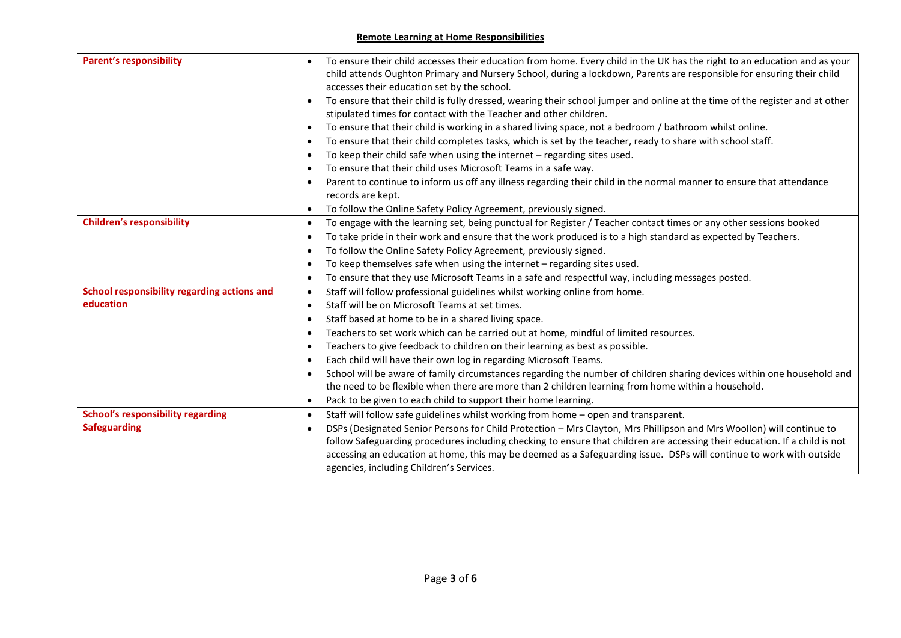# **Remote Learning at Home Responsibilities**

| <b>Parent's responsibility</b>              | To ensure their child accesses their education from home. Every child in the UK has the right to an education and as your<br>child attends Oughton Primary and Nursery School, during a lockdown, Parents are responsible for ensuring their child<br>accesses their education set by the school.<br>To ensure that their child is fully dressed, wearing their school jumper and online at the time of the register and at other |
|---------------------------------------------|-----------------------------------------------------------------------------------------------------------------------------------------------------------------------------------------------------------------------------------------------------------------------------------------------------------------------------------------------------------------------------------------------------------------------------------|
|                                             | stipulated times for contact with the Teacher and other children.                                                                                                                                                                                                                                                                                                                                                                 |
|                                             | To ensure that their child is working in a shared living space, not a bedroom / bathroom whilst online.                                                                                                                                                                                                                                                                                                                           |
|                                             | To ensure that their child completes tasks, which is set by the teacher, ready to share with school staff.                                                                                                                                                                                                                                                                                                                        |
|                                             | To keep their child safe when using the internet $-$ regarding sites used.                                                                                                                                                                                                                                                                                                                                                        |
|                                             | To ensure that their child uses Microsoft Teams in a safe way.                                                                                                                                                                                                                                                                                                                                                                    |
|                                             | Parent to continue to inform us off any illness regarding their child in the normal manner to ensure that attendance                                                                                                                                                                                                                                                                                                              |
|                                             | records are kept.                                                                                                                                                                                                                                                                                                                                                                                                                 |
|                                             | To follow the Online Safety Policy Agreement, previously signed.                                                                                                                                                                                                                                                                                                                                                                  |
| <b>Children's responsibility</b>            | To engage with the learning set, being punctual for Register / Teacher contact times or any other sessions booked<br>$\bullet$                                                                                                                                                                                                                                                                                                    |
|                                             | To take pride in their work and ensure that the work produced is to a high standard as expected by Teachers.                                                                                                                                                                                                                                                                                                                      |
|                                             | To follow the Online Safety Policy Agreement, previously signed.                                                                                                                                                                                                                                                                                                                                                                  |
|                                             | To keep themselves safe when using the internet - regarding sites used.                                                                                                                                                                                                                                                                                                                                                           |
|                                             | To ensure that they use Microsoft Teams in a safe and respectful way, including messages posted.<br>$\bullet$                                                                                                                                                                                                                                                                                                                     |
| School responsibility regarding actions and | Staff will follow professional guidelines whilst working online from home.<br>$\bullet$                                                                                                                                                                                                                                                                                                                                           |
| education                                   | Staff will be on Microsoft Teams at set times.                                                                                                                                                                                                                                                                                                                                                                                    |
|                                             | Staff based at home to be in a shared living space.                                                                                                                                                                                                                                                                                                                                                                               |
|                                             | Teachers to set work which can be carried out at home, mindful of limited resources.                                                                                                                                                                                                                                                                                                                                              |
|                                             | Teachers to give feedback to children on their learning as best as possible.                                                                                                                                                                                                                                                                                                                                                      |
|                                             | Each child will have their own log in regarding Microsoft Teams.                                                                                                                                                                                                                                                                                                                                                                  |
|                                             | School will be aware of family circumstances regarding the number of children sharing devices within one household and                                                                                                                                                                                                                                                                                                            |
|                                             | the need to be flexible when there are more than 2 children learning from home within a household.                                                                                                                                                                                                                                                                                                                                |
|                                             | Pack to be given to each child to support their home learning.                                                                                                                                                                                                                                                                                                                                                                    |
| <b>School's responsibility regarding</b>    | Staff will follow safe guidelines whilst working from home - open and transparent.<br>$\bullet$                                                                                                                                                                                                                                                                                                                                   |
| <b>Safeguarding</b>                         | DSPs (Designated Senior Persons for Child Protection - Mrs Clayton, Mrs Phillipson and Mrs Woollon) will continue to                                                                                                                                                                                                                                                                                                              |
|                                             | follow Safeguarding procedures including checking to ensure that children are accessing their education. If a child is not                                                                                                                                                                                                                                                                                                        |
|                                             | accessing an education at home, this may be deemed as a Safeguarding issue. DSPs will continue to work with outside                                                                                                                                                                                                                                                                                                               |
|                                             | agencies, including Children's Services.                                                                                                                                                                                                                                                                                                                                                                                          |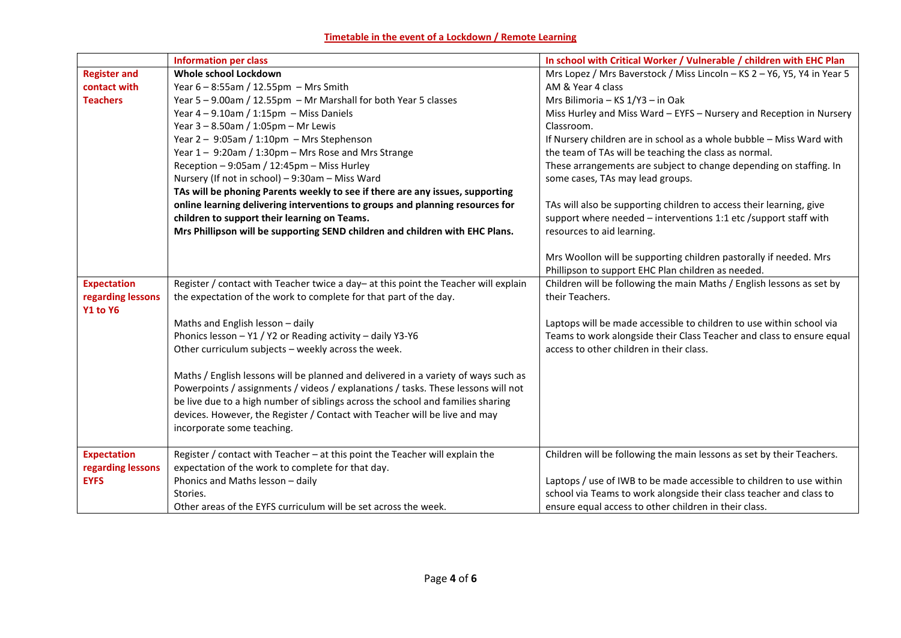# **Timetable in the event of a Lockdown / Remote Learning**

|                     | <b>Information per class</b>                                                        | In school with Critical Worker / Vulnerable / children with EHC Plan    |
|---------------------|-------------------------------------------------------------------------------------|-------------------------------------------------------------------------|
| <b>Register and</b> | Whole school Lockdown                                                               | Mrs Lopez / Mrs Baverstock / Miss Lincoln - KS 2 - Y6, Y5, Y4 in Year 5 |
| contact with        | Year 6 - 8:55am / 12.55pm - Mrs Smith                                               | AM & Year 4 class                                                       |
| <b>Teachers</b>     | Year 5 - 9.00am / 12.55pm - Mr Marshall for both Year 5 classes                     | Mrs Bilimoria - KS 1/Y3 - in Oak                                        |
|                     | Year $4 - 9.10$ am / 1:15pm - Miss Daniels                                          | Miss Hurley and Miss Ward - EYFS - Nursery and Reception in Nursery     |
|                     | Year $3 - 8.50$ am / 1:05pm - Mr Lewis                                              | Classroom.                                                              |
|                     | Year $2 - 9:05$ am / 1:10pm - Mrs Stephenson                                        | If Nursery children are in school as a whole bubble - Miss Ward with    |
|                     | Year 1 - 9:20am / 1:30pm - Mrs Rose and Mrs Strange                                 | the team of TAs will be teaching the class as normal.                   |
|                     | Reception - 9:05am / 12:45pm - Miss Hurley                                          | These arrangements are subject to change depending on staffing. In      |
|                     | Nursery (If not in school) - 9:30am - Miss Ward                                     | some cases, TAs may lead groups.                                        |
|                     | TAs will be phoning Parents weekly to see if there are any issues, supporting       |                                                                         |
|                     | online learning delivering interventions to groups and planning resources for       | TAs will also be supporting children to access their learning, give     |
|                     | children to support their learning on Teams.                                        | support where needed - interventions 1:1 etc /support staff with        |
|                     | Mrs Phillipson will be supporting SEND children and children with EHC Plans.        | resources to aid learning.                                              |
|                     |                                                                                     |                                                                         |
|                     |                                                                                     | Mrs Woollon will be supporting children pastorally if needed. Mrs       |
|                     |                                                                                     | Phillipson to support EHC Plan children as needed.                      |
| <b>Expectation</b>  | Register / contact with Teacher twice a day- at this point the Teacher will explain | Children will be following the main Maths / English lessons as set by   |
| regarding lessons   | the expectation of the work to complete for that part of the day.                   | their Teachers.                                                         |
| <b>Y1 to Y6</b>     |                                                                                     |                                                                         |
|                     | Maths and English lesson - daily                                                    | Laptops will be made accessible to children to use within school via    |
|                     | Phonics lesson - Y1 / Y2 or Reading activity - daily Y3-Y6                          | Teams to work alongside their Class Teacher and class to ensure equal   |
|                     | Other curriculum subjects - weekly across the week.                                 | access to other children in their class.                                |
|                     |                                                                                     |                                                                         |
|                     | Maths / English lessons will be planned and delivered in a variety of ways such as  |                                                                         |
|                     | Powerpoints / assignments / videos / explanations / tasks. These lessons will not   |                                                                         |
|                     | be live due to a high number of siblings across the school and families sharing     |                                                                         |
|                     | devices. However, the Register / Contact with Teacher will be live and may          |                                                                         |
|                     | incorporate some teaching.                                                          |                                                                         |
| <b>Expectation</b>  | Register / contact with Teacher - at this point the Teacher will explain the        | Children will be following the main lessons as set by their Teachers.   |
| regarding lessons   | expectation of the work to complete for that day.                                   |                                                                         |
| <b>EYFS</b>         | Phonics and Maths lesson - daily                                                    | Laptops / use of IWB to be made accessible to children to use within    |
|                     | Stories.                                                                            | school via Teams to work alongside their class teacher and class to     |
|                     | Other areas of the EYFS curriculum will be set across the week.                     | ensure equal access to other children in their class.                   |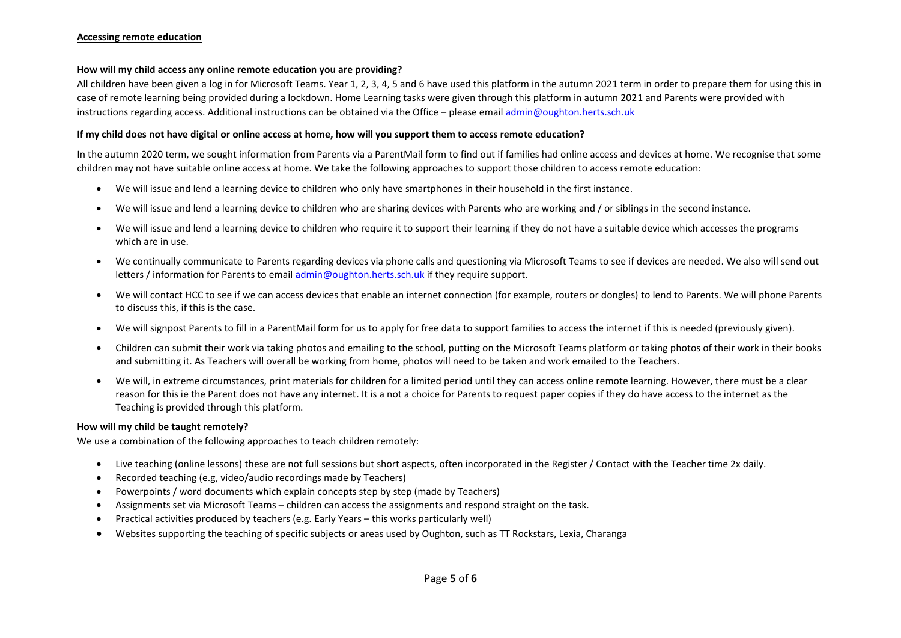### **How will my child access any online remote education you are providing?**

All children have been given a log in for Microsoft Teams. Year 1, 2, 3, 4, 5 and 6 have used this platform in the autumn 2021 term in order to prepare them for using this in case of remote learning being provided during a lockdown. Home Learning tasks were given through this platform in autumn 2021 and Parents were provided with instructions regarding access. Additional instructions can be obtained via the Office – please emai[l admin@oughton.herts.sch.uk](mailto:admin@oughton.herts.sch.uk)

### **If my child does not have digital or online access at home, how will you support them to access remote education?**

In the autumn 2020 term, we sought information from Parents via a ParentMail form to find out if families had online access and devices at home. We recognise that some children may not have suitable online access at home. We take the following approaches to support those children to access remote education:

- We will issue and lend a learning device to children who only have smartphones in their household in the first instance.
- We will issue and lend a learning device to children who are sharing devices with Parents who are working and / or siblings in the second instance.
- We will issue and lend a learning device to children who require it to support their learning if they do not have a suitable device which accesses the programs which are in use.
- We continually communicate to Parents regarding devices via phone calls and questioning via Microsoft Teams to see if devices are needed. We also will send out letters / information for Parents to email [admin@oughton.herts.sch.uk](mailto:admin@oughton.herts.sch.uk) if they require support.
- We will contact HCC to see if we can access devices that enable an internet connection (for example, routers or dongles) to lend to Parents. We will phone Parents to discuss this, if this is the case.
- We will signpost Parents to fill in a ParentMail form for us to apply for free data to support families to access the internet if this is needed (previously given).
- Children can submit their work via taking photos and emailing to the school, putting on the Microsoft Teams platform or taking photos of their work in their books and submitting it. As Teachers will overall be working from home, photos will need to be taken and work emailed to the Teachers.
- We will, in extreme circumstances, print materials for children for a limited period until they can access online remote learning. However, there must be a clear reason for this ie the Parent does not have any internet. It is a not a choice for Parents to request paper copies if they do have access to the internet as the Teaching is provided through this platform.

## **How will my child be taught remotely?**

We use a combination of the following approaches to teach children remotely:

- Live teaching (online lessons) these are not full sessions but short aspects, often incorporated in the Register / Contact with the Teacher time 2x daily.
- Recorded teaching (e.g, video/audio recordings made by Teachers)
- Powerpoints / word documents which explain concepts step by step (made by Teachers)
- Assignments set via Microsoft Teams children can access the assignments and respond straight on the task.
- Practical activities produced by teachers (e.g. Early Years this works particularly well)
- Websites supporting the teaching of specific subjects or areas used by Oughton, such as TT Rockstars, Lexia, Charanga